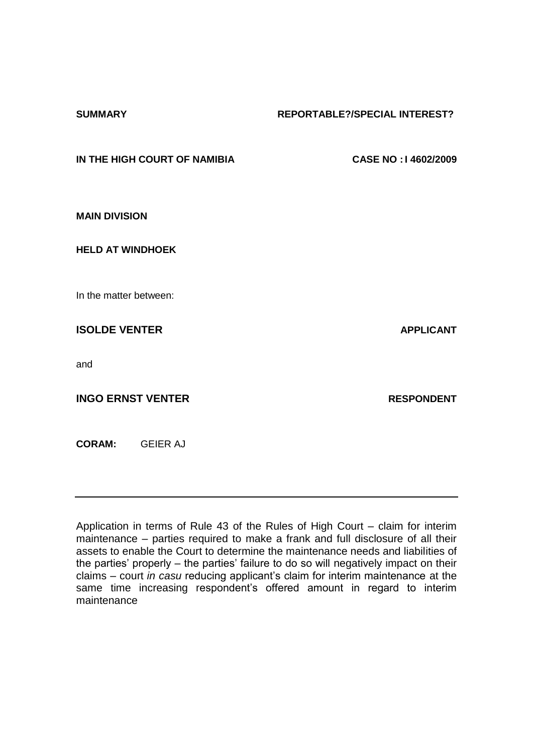#### **SUMMARY REPORTABLE?/SPECIAL INTEREST?**

**IN THE HIGH COURT OF NAMIBIA CASE NO : I 4602/2009**

**MAIN DIVISION**

**HELD AT WINDHOEK** 

In the matter between:

**ISOLDE VENTER APPLICANT** 

and

**INGO ERNST VENTER RESPONDENT** 

**CORAM:** GEIER AJ

Application in terms of Rule 43 of the Rules of High Court – claim for interim maintenance – parties required to make a frank and full disclosure of all their assets to enable the Court to determine the maintenance needs and liabilities of the parties' properly – the parties' failure to do so will negatively impact on their claims – court *in casu* reducing applicant's claim for interim maintenance at the same time increasing respondent's offered amount in regard to interim maintenance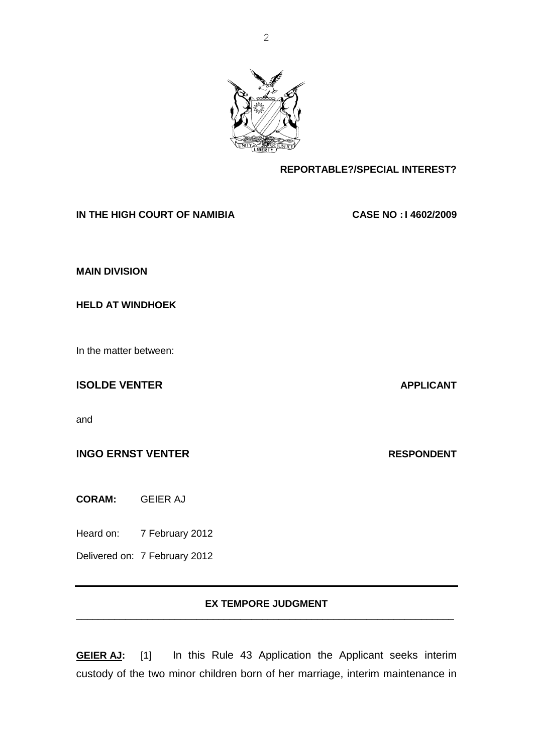**REPORTABLE?/SPECIAL INTEREST?**

**IN THE HIGH COURT OF NAMIBIA CASE NO : I 4602/2009**

**MAIN DIVISION**

**HELD AT WINDHOEK** 

In the matter between:

**ISOLDE VENTER APPLICANT** 

and

**INGO ERNST VENTER RESPONDENT** 

**CORAM:** GEIER AJ

Heard on: 7 February 2012

Delivered on: 7 February 2012

#### **EX TEMPORE JUDGMENT** \_\_\_\_\_\_\_\_\_\_\_\_\_\_\_\_\_\_\_\_\_\_\_\_\_\_\_\_\_\_\_\_\_\_\_\_\_\_\_\_\_\_\_\_\_\_\_\_\_\_\_\_\_\_\_\_\_\_\_\_\_\_\_\_\_\_\_\_\_

**GEIER AJ:** [1] In this Rule 43 Application the Applicant seeks interim custody of the two minor children born of her marriage, interim maintenance in

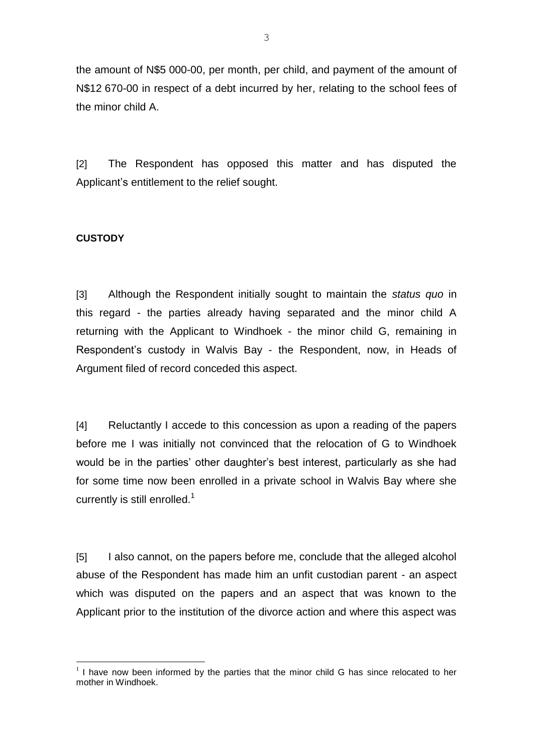the amount of N\$5 000-00, per month, per child, and payment of the amount of N\$12 670-00 in respect of a debt incurred by her, relating to the school fees of the minor child A.

[2] The Respondent has opposed this matter and has disputed the Applicant's entitlement to the relief sought.

# **CUSTODY**

<u>.</u>

[3] Although the Respondent initially sought to maintain the *status quo* in this regard - the parties already having separated and the minor child A returning with the Applicant to Windhoek - the minor child G, remaining in Respondent's custody in Walvis Bay - the Respondent, now, in Heads of Argument filed of record conceded this aspect.

[4] Reluctantly I accede to this concession as upon a reading of the papers before me I was initially not convinced that the relocation of G to Windhoek would be in the parties' other daughter's best interest, particularly as she had for some time now been enrolled in a private school in Walvis Bay where she currently is still enrolled.<sup>1</sup>

[5] I also cannot, on the papers before me, conclude that the alleged alcohol abuse of the Respondent has made him an unfit custodian parent - an aspect which was disputed on the papers and an aspect that was known to the Applicant prior to the institution of the divorce action and where this aspect was

 $1$  I have now been informed by the parties that the minor child G has since relocated to her mother in Windhoek.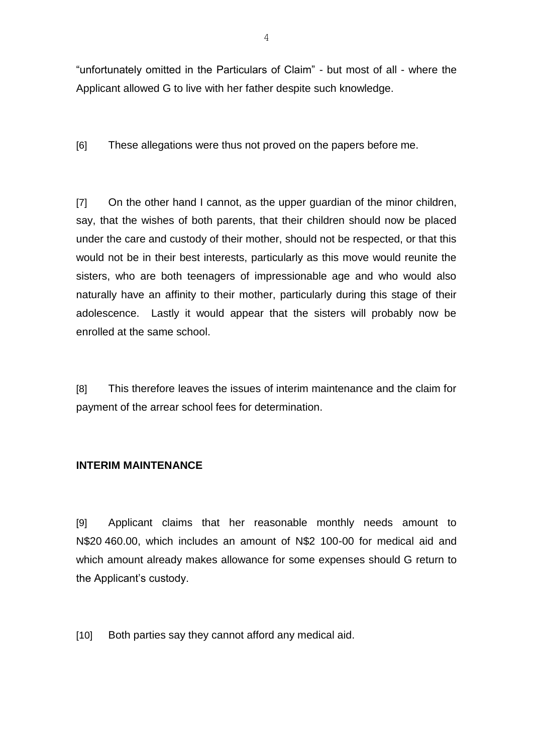"unfortunately omitted in the Particulars of Claim" - but most of all - where the Applicant allowed G to live with her father despite such knowledge.

[6] These allegations were thus not proved on the papers before me.

[7] On the other hand I cannot, as the upper guardian of the minor children, say, that the wishes of both parents, that their children should now be placed under the care and custody of their mother, should not be respected, or that this would not be in their best interests, particularly as this move would reunite the sisters, who are both teenagers of impressionable age and who would also naturally have an affinity to their mother, particularly during this stage of their adolescence. Lastly it would appear that the sisters will probably now be enrolled at the same school.

[8] This therefore leaves the issues of interim maintenance and the claim for payment of the arrear school fees for determination.

# **INTERIM MAINTENANCE**

[9] Applicant claims that her reasonable monthly needs amount to N\$20 460.00, which includes an amount of N\$2 100-00 for medical aid and which amount already makes allowance for some expenses should G return to the Applicant's custody.

[10] Both parties say they cannot afford any medical aid.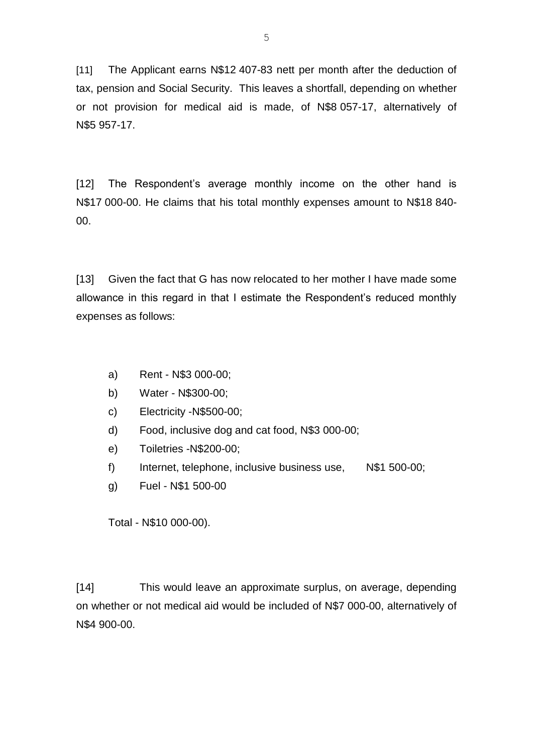[11] The Applicant earns N\$12 407-83 nett per month after the deduction of tax, pension and Social Security. This leaves a shortfall, depending on whether or not provision for medical aid is made, of N\$8 057-17, alternatively of N\$5 957-17.

[12] The Respondent's average monthly income on the other hand is N\$17 000-00. He claims that his total monthly expenses amount to N\$18 840- 00.

[13] Given the fact that G has now relocated to her mother I have made some allowance in this regard in that I estimate the Respondent's reduced monthly expenses as follows:

- a) Rent N\$3 000-00;
- b) Water N\$300-00;
- c) Electricity -N\$500-00;
- d) Food, inclusive dog and cat food, N\$3 000-00;
- e) Toiletries -N\$200-00;
- f) Internet, telephone, inclusive business use, N\$1 500-00;
- g) Fuel N\$1 500-00

Total - N\$10 000-00).

[14] This would leave an approximate surplus, on average, depending on whether or not medical aid would be included of N\$7 000-00, alternatively of N\$4 900-00.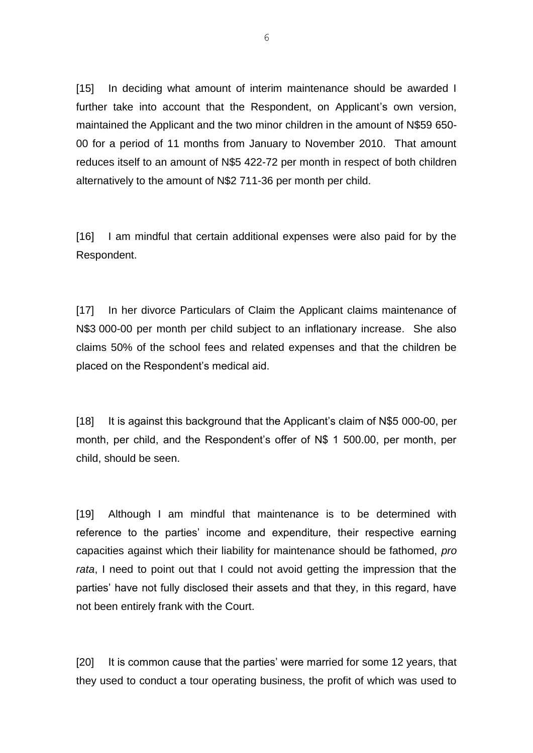[15] In deciding what amount of interim maintenance should be awarded I further take into account that the Respondent, on Applicant's own version, maintained the Applicant and the two minor children in the amount of N\$59 650- 00 for a period of 11 months from January to November 2010. That amount reduces itself to an amount of N\$5 422-72 per month in respect of both children alternatively to the amount of N\$2 711-36 per month per child.

[16] I am mindful that certain additional expenses were also paid for by the Respondent.

[17] In her divorce Particulars of Claim the Applicant claims maintenance of N\$3 000-00 per month per child subject to an inflationary increase. She also claims 50% of the school fees and related expenses and that the children be placed on the Respondent's medical aid.

[18] It is against this background that the Applicant's claim of N\$5 000-00, per month, per child, and the Respondent's offer of N\$ 1 500.00, per month, per child, should be seen.

[19] Although I am mindful that maintenance is to be determined with reference to the parties' income and expenditure, their respective earning capacities against which their liability for maintenance should be fathomed, *pro rata*, I need to point out that I could not avoid getting the impression that the parties' have not fully disclosed their assets and that they, in this regard, have not been entirely frank with the Court.

[20] It is common cause that the parties' were married for some 12 years, that they used to conduct a tour operating business, the profit of which was used to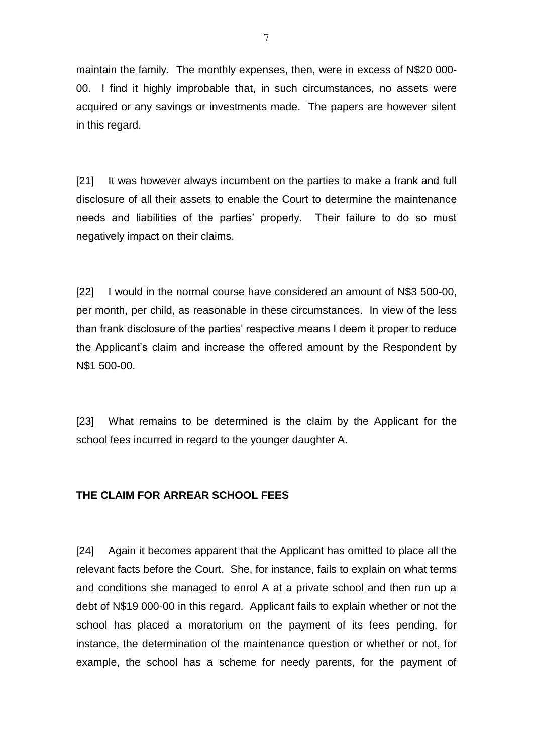maintain the family. The monthly expenses, then, were in excess of N\$20 000- 00. I find it highly improbable that, in such circumstances, no assets were acquired or any savings or investments made. The papers are however silent in this regard.

[21] It was however always incumbent on the parties to make a frank and full disclosure of all their assets to enable the Court to determine the maintenance needs and liabilities of the parties' properly. Their failure to do so must negatively impact on their claims.

[22] I would in the normal course have considered an amount of N\$3 500-00, per month, per child, as reasonable in these circumstances. In view of the less than frank disclosure of the parties' respective means I deem it proper to reduce the Applicant's claim and increase the offered amount by the Respondent by N\$1 500-00.

[23] What remains to be determined is the claim by the Applicant for the school fees incurred in regard to the younger daughter A.

# **THE CLAIM FOR ARREAR SCHOOL FEES**

[24] Again it becomes apparent that the Applicant has omitted to place all the relevant facts before the Court. She, for instance, fails to explain on what terms and conditions she managed to enrol A at a private school and then run up a debt of N\$19 000-00 in this regard. Applicant fails to explain whether or not the school has placed a moratorium on the payment of its fees pending, for instance, the determination of the maintenance question or whether or not, for example, the school has a scheme for needy parents, for the payment of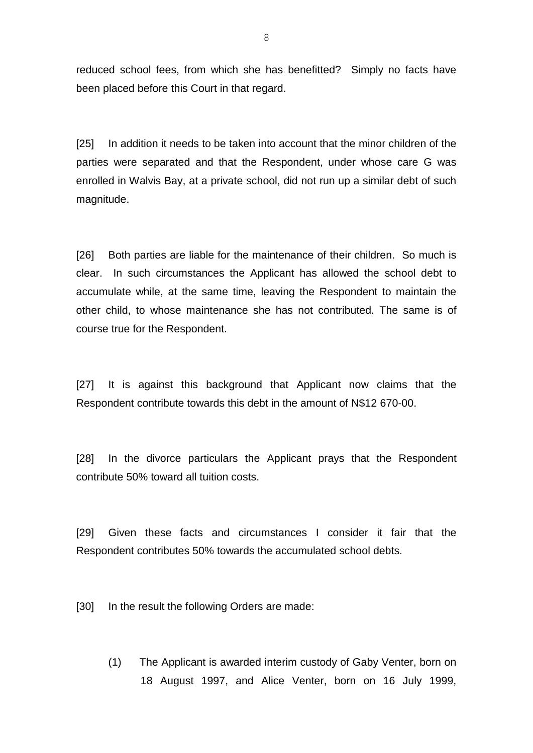reduced school fees, from which she has benefitted? Simply no facts have been placed before this Court in that regard.

[25] In addition it needs to be taken into account that the minor children of the parties were separated and that the Respondent, under whose care G was enrolled in Walvis Bay, at a private school, did not run up a similar debt of such magnitude.

[26] Both parties are liable for the maintenance of their children. So much is clear. In such circumstances the Applicant has allowed the school debt to accumulate while, at the same time, leaving the Respondent to maintain the other child, to whose maintenance she has not contributed. The same is of course true for the Respondent.

[27] It is against this background that Applicant now claims that the Respondent contribute towards this debt in the amount of N\$12 670-00.

[28] In the divorce particulars the Applicant prays that the Respondent contribute 50% toward all tuition costs.

[29] Given these facts and circumstances I consider it fair that the Respondent contributes 50% towards the accumulated school debts.

[30] In the result the following Orders are made:

(1) The Applicant is awarded interim custody of Gaby Venter, born on 18 August 1997, and Alice Venter, born on 16 July 1999,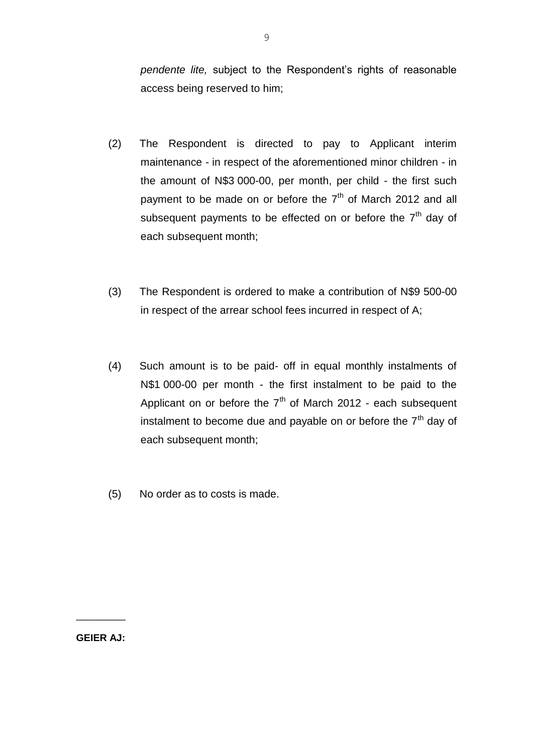*pendente lite,* subject to the Respondent's rights of reasonable access being reserved to him;

- (2) The Respondent is directed to pay to Applicant interim maintenance - in respect of the aforementioned minor children - in the amount of N\$3 000-00, per month, per child - the first such payment to be made on or before the  $7<sup>th</sup>$  of March 2012 and all subsequent payments to be effected on or before the  $7<sup>th</sup>$  day of each subsequent month;
- (3) The Respondent is ordered to make a contribution of N\$9 500-00 in respect of the arrear school fees incurred in respect of A;
- (4) Such amount is to be paid- off in equal monthly instalments of N\$1 000-00 per month - the first instalment to be paid to the Applicant on or before the  $7<sup>th</sup>$  of March 2012 - each subsequent instalment to become due and payable on or before the  $7<sup>th</sup>$  day of each subsequent month;
- (5) No order as to costs is made.

**GEIER AJ:**

\_\_\_\_\_\_\_\_\_